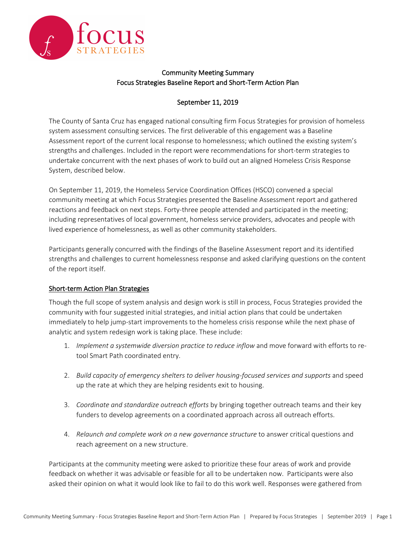

# Community Meeting Summary Focus Strategies Baseline Report and Short-Term Action Plan

## September 11, 2019

The County of Santa Cruz has engaged national consulting firm Focus Strategies for provision of homeless system assessment consulting services. The first deliverable of this engagement was a Baseline Assessment report of the current local response to homelessness; which outlined the existing system's strengths and challenges. Included in the report were recommendations for short-term strategies to undertake concurrent with the next phases of work to build out an aligned Homeless Crisis Response System, described below.

On September 11, 2019, the Homeless Service Coordination Offices (HSCO) convened a special community meeting at which Focus Strategies presented the Baseline Assessment report and gathered reactions and feedback on next steps. Forty-three people attended and participated in the meeting; including representatives of local government, homeless service providers, advocates and people with lived experience of homelessness, as well as other community stakeholders.

Participants generally concurred with the findings of the Baseline Assessment report and its identified strengths and challenges to current homelessness response and asked clarifying questions on the content of the report itself.

### Short-term Action Plan Strategies

Though the full scope of system analysis and design work is still in process, Focus Strategies provided the community with four suggested initial strategies, and initial action plans that could be undertaken immediately to help jump-start improvements to the homeless crisis response while the next phase of analytic and system redesign work is taking place. These include:

- 1. *Implement a systemwide diversion practice to reduce inflow* and move forward with efforts to retool Smart Path coordinated entry.
- 2. *Build capacity of emergency shelters to deliver housing-focused services and supports* and speed up the rate at which they are helping residents exit to housing.
- 3. *Coordinate and standardize outreach efforts* by bringing together outreach teams and their key funders to develop agreements on a coordinated approach across all outreach efforts.
- 4. *Relaunch and complete work on a new governance structure* to answer critical questions and reach agreement on a new structure.

Participants at the community meeting were asked to prioritize these four areas of work and provide feedback on whether it was advisable or feasible for all to be undertaken now. Participants were also asked their opinion on what it would look like to fail to do this work well. Responses were gathered from